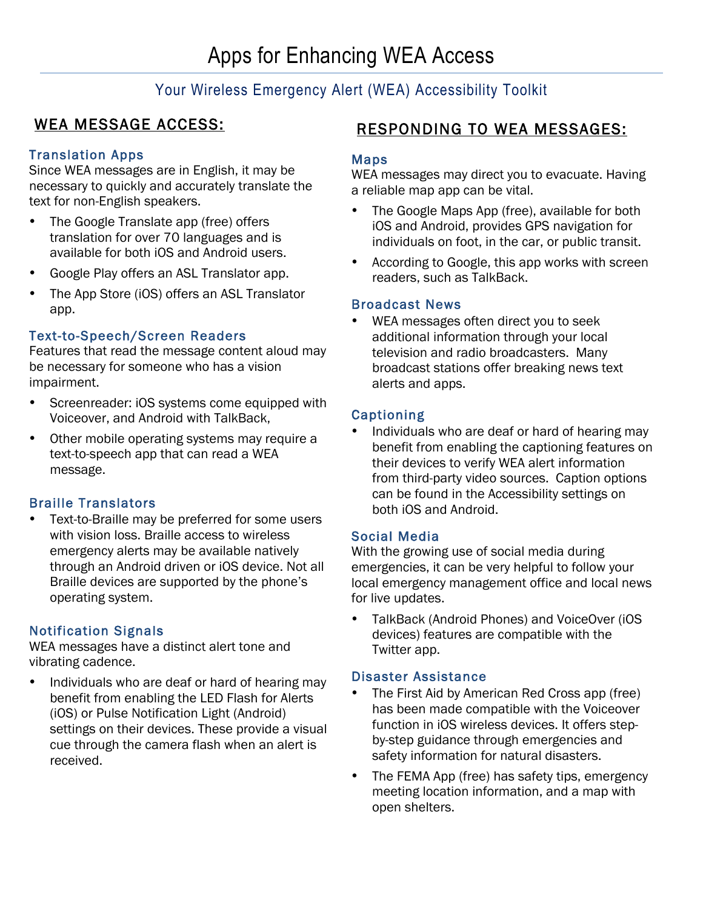# Your Wireless Emergency Alert (WEA) Accessibility Toolkit

# WEA MESSAGE ACCESS:

# Translation Apps

Since WEA messages are in English, it may be necessary to quickly and accurately translate the text for non-English speakers.

- The Google Translate app (free) offers translation for over 70 languages and is available for both iOS and Android users.
- Google Play offers an ASL Translator app.
- The App Store (iOS) offers an ASL Translator app.

# Text-to-Speech/Screen Readers

Features that read the message content aloud may be necessary for someone who has a vision impairment.

- Screenreader: iOS systems come equipped with Voiceover, and Android with TalkBack,
- Other mobile operating systems may require a text-to-speech app that can read a WEA message.

# Braille Translators

Text-to-Braille may be preferred for some users with vision loss. Braille access to wireless emergency alerts may be available natively through an Android driven or iOS device. Not all Braille devices are supported by the phone's operating system.

# Notification Signals

WEA messages have a distinct alert tone and vibrating cadence.

• Individuals who are deaf or hard of hearing may benefit from enabling the LED Flash for Alerts (iOS) or Pulse Notification Light (Android) settings on their devices. These provide a visual cue through the camera flash when an alert is received.

# RESPONDING TO WEA MESSAGES:

#### Maps

WEA messages may direct you to evacuate. Having a reliable map app can be vital.

- The Google Maps App (free), available for both iOS and Android, provides GPS navigation for individuals on foot, in the car, or public transit.
- According to Google, this app works with screen readers, such as TalkBack.

#### Broadcast News

• WEA messages often direct you to seek additional information through your local television and radio broadcasters. Many broadcast stations offer breaking news text alerts and apps.

#### Captioning

• Individuals who are deaf or hard of hearing may benefit from enabling the captioning features on their devices to verify WEA alert information from third-party video sources. Caption options can be found in the Accessibility settings on both iOS and Android.

#### Social Media

With the growing use of social media during emergencies, it can be very helpful to follow your local emergency management office and local news for live updates.

• TalkBack (Android Phones) and VoiceOver (iOS devices) features are compatible with the Twitter app.

#### Disaster Assistance

- The First Aid by American Red Cross app (free) has been made compatible with the Voiceover function in iOS wireless devices. It offers stepby-step guidance through emergencies and safety information for natural disasters.
- The FEMA App (free) has safety tips, emergency meeting location information, and a map with open shelters.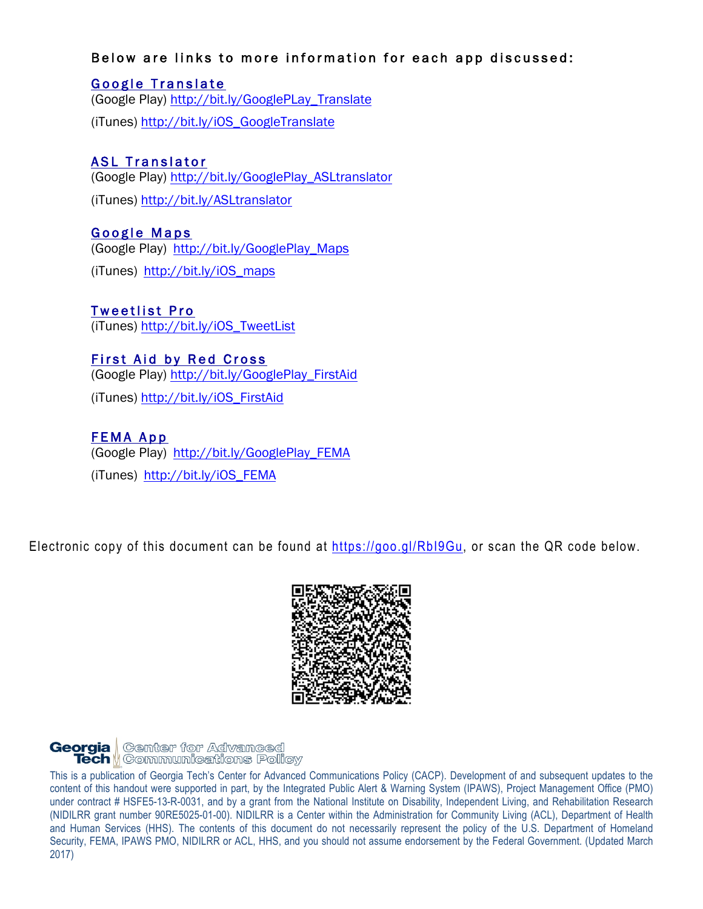#### Below are links to more information for each app discussed:

# Google Translate

(Google Play) http://bit.ly/GooglePLay\_Translate (iTunes) http://bit.ly/iOS\_GoogleTranslate

# ASL Translator

(Google Play) http://bit.ly/GooglePlay\_ASLtranslator

(iTunes) http://bit.ly/ASLtranslator

#### Google Maps

(Google Play) http://bit.ly/GooglePlay\_Maps

(iTunes) http://bit.ly/iOS\_maps

# **Tweetlist Pro**

(iTunes) http://bit.ly/iOS\_TweetList

# First Aid by Red Cross

(Google Play) http://bit.ly/GooglePlay\_FirstAid

(iTunes) http://bit.ly/iOS\_FirstAid

# FEMA App

(Google Play) http://bit.ly/GooglePlay\_FEMA (iTunes) http://bit.ly/iOS\_FEMA

Electronic copy of this document can be found at https://goo.gl/RbI9Gu, or scan the QR code below.



# **Georgia** Genter for Advanced<br>**Tech |** Communications Policy

| This is a publication of Georgia Tech's Center for Advanced Communications Policy (CACP). Development of and subsequent updates to the      |
|---------------------------------------------------------------------------------------------------------------------------------------------|
| content of this handout were supported in part, by the Integrated Public Alert & Warning System (IPAWS), Project Management Office (PMO)    |
| under contract # HSFE5-13-R-0031, and by a grant from the National Institute on Disability, Independent Living, and Rehabilitation Research |
| (NIDILRR grant number 90RE5025-01-00). NIDILRR is a Center within the Administration for Community Living (ACL), Department of Health       |
| and Human Services (HHS). The contents of this document do not necessarily represent the policy of the U.S. Department of Homeland          |
| Security, FEMA, IPAWS PMO, NIDILRR or ACL, HHS, and you should not assume endorsement by the Federal Government. (Updated March             |
| 2017)                                                                                                                                       |